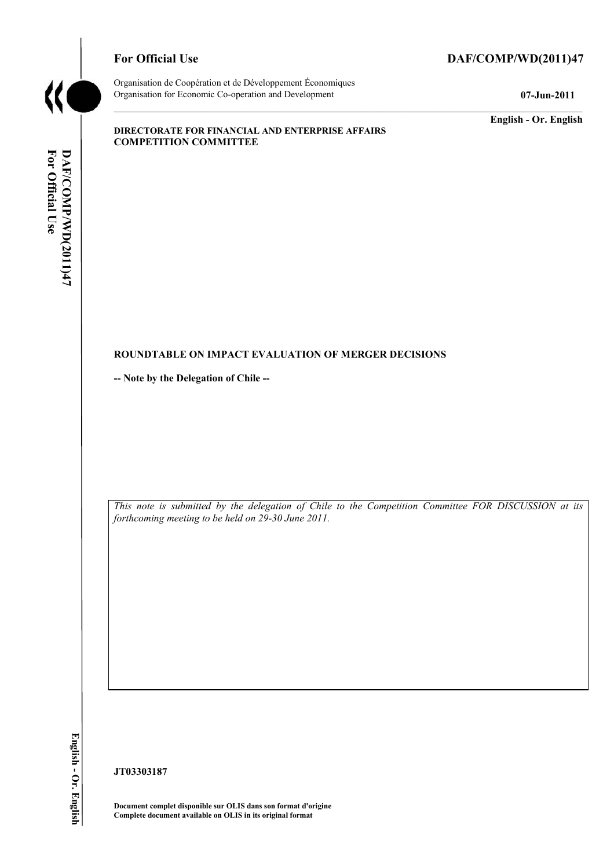

# For Official Use DAF/COMP/WD(2011)47

Organisation de Coopération et de Développement Économiques Organisation for Economic Co-operation and Development **07-Jun-2011** 

**English - Or. English** 

#### **DIRECTORATE FOR FINANCIAL AND ENTERPRISE AFFAIRS COMPETITION COMMITTEE**

### **ROUNDTABLE ON IMPACT EVALUATION OF MERGER DECISIONS**

**-- Note by the Delegation of Chile --** 

*This note is submitted by the delegation of Chile to the Competition Committee FOR DISCUSSION at its forthcoming meeting to be held on 29-30 June 2011.* 

English - Or. English

**JT03303187** 

**Document complet disponible sur OLIS dans son format d'origine Complete document available on OLIS in its original format**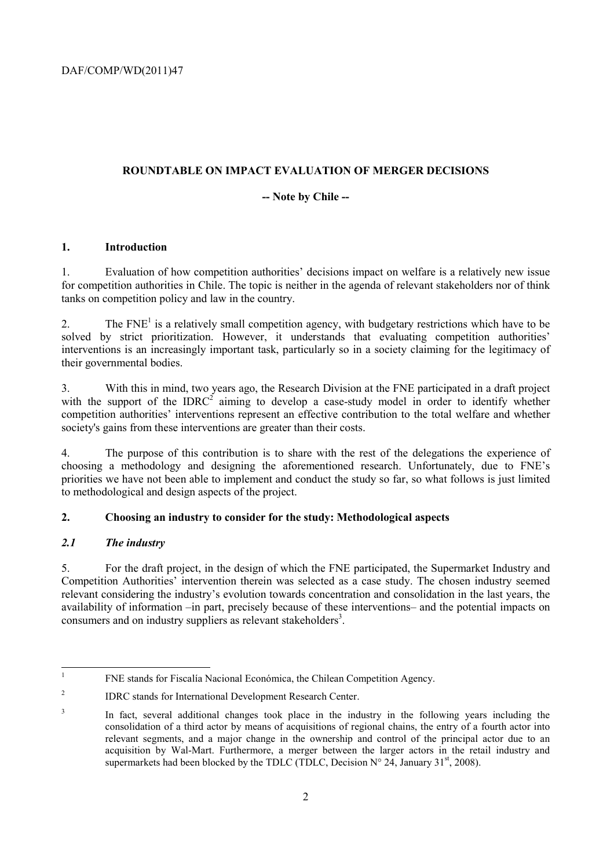DAF/COMP/WD(2011)47

### **ROUNDTABLE ON IMPACT EVALUATION OF MERGER DECISIONS**

### **-- Note by Chile --**

### **1. Introduction**

1. Evaluation of how competition authorities' decisions impact on welfare is a relatively new issue for competition authorities in Chile. The topic is neither in the agenda of relevant stakeholders nor of think tanks on competition policy and law in the country.

2. The  $FNE<sup>1</sup>$  is a relatively small competition agency, with budgetary restrictions which have to be solved by strict prioritization. However, it understands that evaluating competition authorities' interventions is an increasingly important task, particularly so in a society claiming for the legitimacy of their governmental bodies.

3. With this in mind, two years ago, the Research Division at the FNE participated in a draft project with the support of the IDRC<sup>2</sup> aiming to develop a case-study model in order to identify whether competition authorities' interventions represent an effective contribution to the total welfare and whether society's gains from these interventions are greater than their costs.

4. The purpose of this contribution is to share with the rest of the delegations the experience of choosing a methodology and designing the aforementioned research. Unfortunately, due to FNE's priorities we have not been able to implement and conduct the study so far, so what follows is just limited to methodological and design aspects of the project.

# **2. Choosing an industry to consider for the study: Methodological aspects**

# *2.1 The industry*

5. For the draft project, in the design of which the FNE participated, the Supermarket Industry and Competition Authorities' intervention therein was selected as a case study. The chosen industry seemed relevant considering the industry's evolution towards concentration and consolidation in the last years, the availability of information –in part, precisely because of these interventions– and the potential impacts on consumers and on industry suppliers as relevant stakeholders<sup>3</sup>.

<sup>|&</sup>lt;br>|<br>| FNE stands for Fiscalía Nacional Económica, the Chilean Competition Agency.

<sup>2</sup> IDRC stands for International Development Research Center.

<sup>3</sup> In fact, several additional changes took place in the industry in the following years including the consolidation of a third actor by means of acquisitions of regional chains, the entry of a fourth actor into relevant segments, and a major change in the ownership and control of the principal actor due to an acquisition by Wal-Mart. Furthermore, a merger between the larger actors in the retail industry and supermarkets had been blocked by the TDLC (TDLC, Decision  $N^{\circ}$  24, January 31<sup>st</sup>, 2008).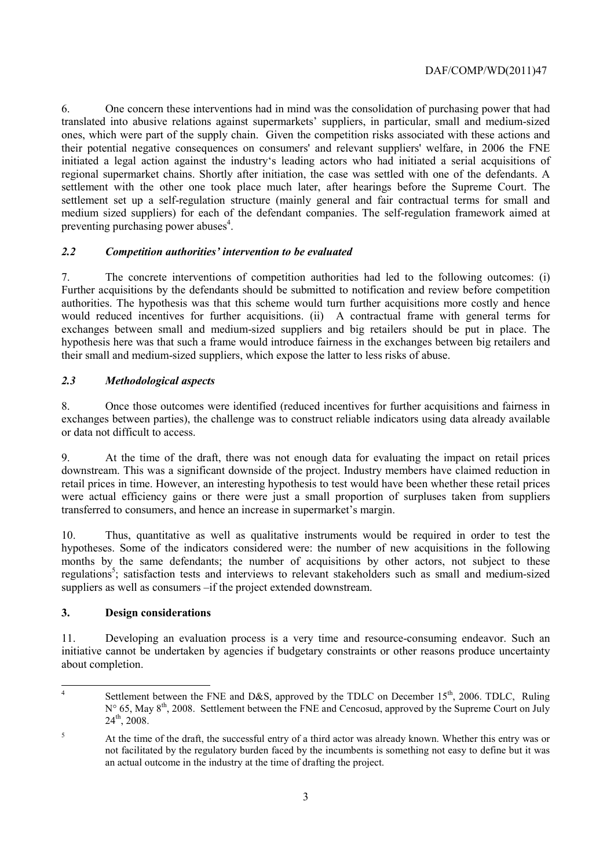### DAF/COMP/WD(2011)47

6. One concern these interventions had in mind was the consolidation of purchasing power that had translated into abusive relations against supermarkets' suppliers, in particular, small and medium-sized ones, which were part of the supply chain. Given the competition risks associated with these actions and their potential negative consequences on consumers' and relevant suppliers' welfare, in 2006 the FNE initiated a legal action against the industry's leading actors who had initiated a serial acquisitions of regional supermarket chains. Shortly after initiation, the case was settled with one of the defendants. A settlement with the other one took place much later, after hearings before the Supreme Court. The settlement set up a self-regulation structure (mainly general and fair contractual terms for small and medium sized suppliers) for each of the defendant companies. The self-regulation framework aimed at preventing purchasing power abuses $4$ .

### *2.2 Competition authorities' intervention to be evaluated*

7. The concrete interventions of competition authorities had led to the following outcomes: (i) Further acquisitions by the defendants should be submitted to notification and review before competition authorities. The hypothesis was that this scheme would turn further acquisitions more costly and hence would reduced incentives for further acquisitions. (ii) A contractual frame with general terms for exchanges between small and medium-sized suppliers and big retailers should be put in place. The hypothesis here was that such a frame would introduce fairness in the exchanges between big retailers and their small and medium-sized suppliers, which expose the latter to less risks of abuse.

# *2.3 Methodological aspects*

8. Once those outcomes were identified (reduced incentives for further acquisitions and fairness in exchanges between parties), the challenge was to construct reliable indicators using data already available or data not difficult to access.

9. At the time of the draft, there was not enough data for evaluating the impact on retail prices downstream. This was a significant downside of the project. Industry members have claimed reduction in retail prices in time. However, an interesting hypothesis to test would have been whether these retail prices were actual efficiency gains or there were just a small proportion of surpluses taken from suppliers transferred to consumers, and hence an increase in supermarket's margin.

10. Thus, quantitative as well as qualitative instruments would be required in order to test the hypotheses. Some of the indicators considered were: the number of new acquisitions in the following months by the same defendants; the number of acquisitions by other actors, not subject to these regulations<sup>5</sup>; satisfaction tests and interviews to relevant stakeholders such as small and medium-sized suppliers as well as consumers –if the project extended downstream.

#### **3. Design considerations**

11. Developing an evaluation process is a very time and resource-consuming endeavor. Such an initiative cannot be undertaken by agencies if budgetary constraints or other reasons produce uncertainty about completion.

 $\frac{1}{4}$ Settlement between the FNE and D&S, approved by the TDLC on December  $15<sup>th</sup>$ , 2006. TDLC, Ruling N° 65, May 8<sup>th</sup>, 2008. Settlement between the FNE and Cencosud, approved by the Supreme Court on July  $24^{th}$ , 2008.

<sup>5</sup> At the time of the draft, the successful entry of a third actor was already known. Whether this entry was or not facilitated by the regulatory burden faced by the incumbents is something not easy to define but it was an actual outcome in the industry at the time of drafting the project.